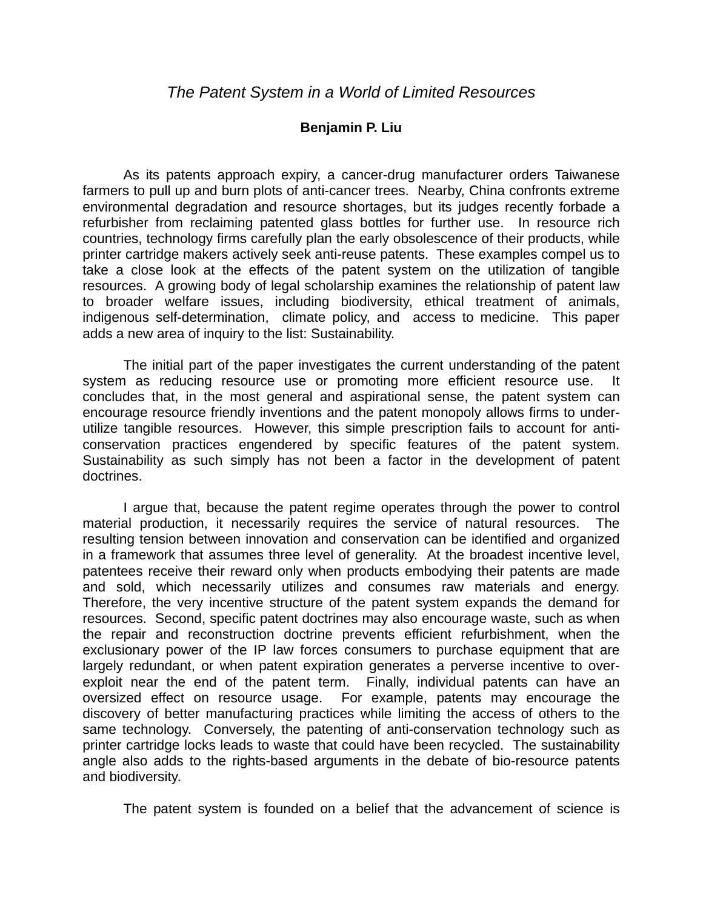## **Benjamin P. Liu**

As its patents approach expiry, a cancer-drug manufacturer orders Taiwanese farmers to pull up and burn plots of anti-cancer trees. Nearby, China confronts extreme environmental degradation and resource shortages, but its judges recently forbade a refurbisher from reclaiming patented glass bottles for further use. In resource rich countries, technology firms carefully plan the early obsolescence of their products, while printer cartridge makers actively seek anti-reuse patents. These examples compel us to take a close look at the effects of the patent system on the utilization of tangible resources. A growing body of legal scholarship examines the relationship of patent law to broader welfare issues, including biodiversity, ethical treatment of animals, indigenous self-determination, climate policy, and access to medicine. This paper adds a new area of inquiry to the list: Sustainability.

The initial part of the paper investigates the current understanding of the patent system as reducing resource use or promoting more efficient resource use. It concludes that, in the most general and aspirational sense, the patent system can encourage resource friendly inventions and the patent monopoly allows firms to underutilize tangible resources. However, this simple prescription fails to account for anticonservation practices engendered by specific features of the patent system. Sustainability as such simply has not been a factor in the development of patent doctrines.

I argue that, because the patent regime operates through the power to control material production, it necessarily requires the service of natural resources. The resulting tension between innovation and conservation can be identified and organized in a framework that assumes three level of generality. At the broadest incentive level, patentees receive their reward only when products embodying their patents are made and sold, which necessarily utilizes and consumes raw materials and energy. Therefore, the very incentive structure of the patent system expands the demand for resources. Second, specific patent doctrines may also encourage waste, such as when the repair and reconstruction doctrine prevents efficient refurbishment, when the exclusionary power of the IP law forces consumers to purchase equipment that are largely redundant, or when patent expiration generates a perverse incentive to overexploit near the end of the patent term. Finally, individual patents can have an oversized effect on resource usage. For example, patents may encourage the discovery of better manufacturing practices while limiting the access of others to the same technology. Conversely, the patenting of anti-conservation technology such as printer cartridge locks leads to waste that could have been recycled. The sustainability angle also adds to the rights-based arguments in the debate of bio-resource patents and biodiversity.

The patent system is founded on a belief that the advancement of science is